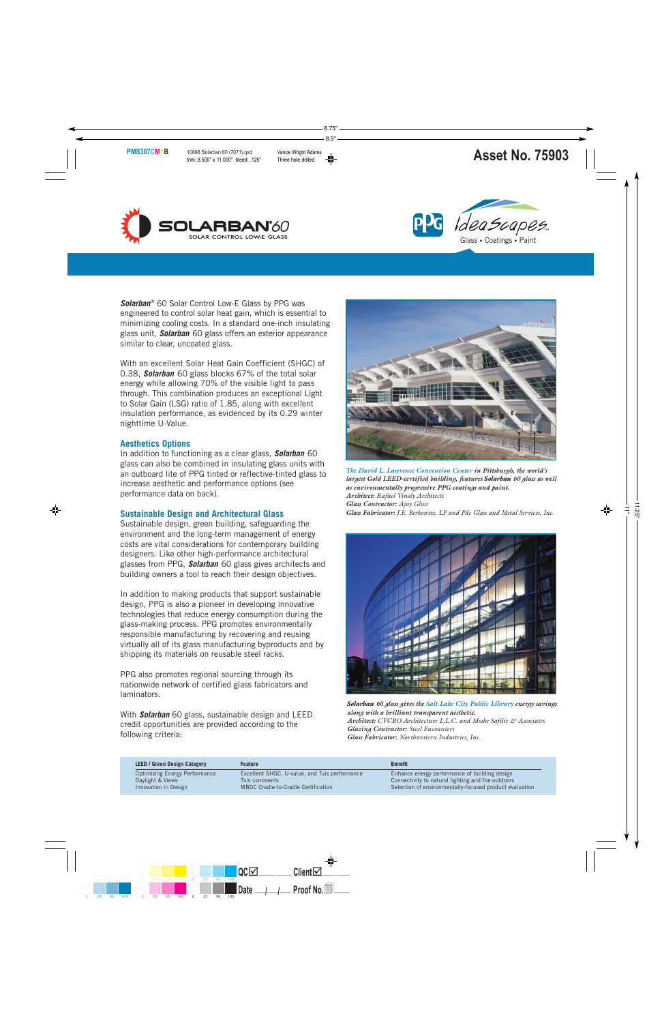



**Solarban**® 60 Solar Control Low-E Glass by PPG was engineered to control solar heat gain, which is essential to minimizing cooling costs. In a standard one-inch insulating glass unit, **Solarban** 60 glass offers an exterior appearance similar to clear, uncoated glass.

With an excellent Solar Heat Gain Coefficient (SHGC) of 0.38, **Solarban** 60 glass blocks 67% of the total solar energy while allowing 70% of the visible light to pass through. This combination produces an exceptional Light to Solar Gain (LSG) ratio of 1.85, along with excellent insulation performance, as evidenced by its 0.29 winter nighttime U-Value.

#### **Aesthetics Options**

In addition to functioning as a clear glass, **Solarban** 60 glass can also be combined in insulating glass units with an outboard lite of PPG tinted or reflective-tinted glass to increase aesthetic and performance options (see performance data on back).

# **Sustainable Design and Architectural Glass**

Sustainable design, green building, safeguarding the environment and the long-term management of energy costs are vital considerations for contemporary building designers. Like other high-performance architectural glasses from PPG, **Solarban** 60 glass gives architects and building owners a tool to reach their design objectives.

In addition to making products that support sustainable design, PPG is also a pioneer in developing innovative technologies that reduce energy consumption during the glass-making process. PPG promotes environmentally responsible manufacturing by recovering and reusing virtually all of its glass manufacturing byproducts and by shipping its materials on reusable steel racks.

PPG also promotes regional sourcing through its nationwide network of certified glass fabricators and laminators.

With **Solarban** 60 glass, sustainable design and LEED credit opportunities are provided according to the following criteria:



*The David L. Lawrence Convention Center in Pittsburgh, the world's largest Gold LEED-certified building, features Solarban 60 glass as well as environmentally progressive PPG coatings and paint. Architect: Rafael Vinoly Architects Glass Contractor: Ajay Glass Glass Fabricator: J.E. Berkowitz, LP and Pdc Glass and Metal Services, Inc.*



*Solarban 60 glass gives the Salt Lake City Public Library energy savings along with a brilliant transparent aesthetic. Architect: CVCBO Architecture L.L.C. and Moshe Safdie & Associates Glazing Contractor: Steel Encounters Glass Fabricator: Northwestern Industries, Inc.*

| <b>LEED / Green Design Category</b>  | <b>Feature</b>                                | <b>Benefit</b>                                          |  |  |  |  |
|--------------------------------------|-----------------------------------------------|---------------------------------------------------------|--|--|--|--|
| <b>Optimizing Energy Performance</b> | Excellent SHGC, U-value, and Tvis performance | Enhance energy performance of building design           |  |  |  |  |
| Daylight & Views                     | Tyis comments                                 | Connectivity to natural lighting and the outdoors       |  |  |  |  |
| Innovation in Design                 | MBDC Cradle-to-Cradle Certification           | Selection of environmentally-focused product evaluation |  |  |  |  |